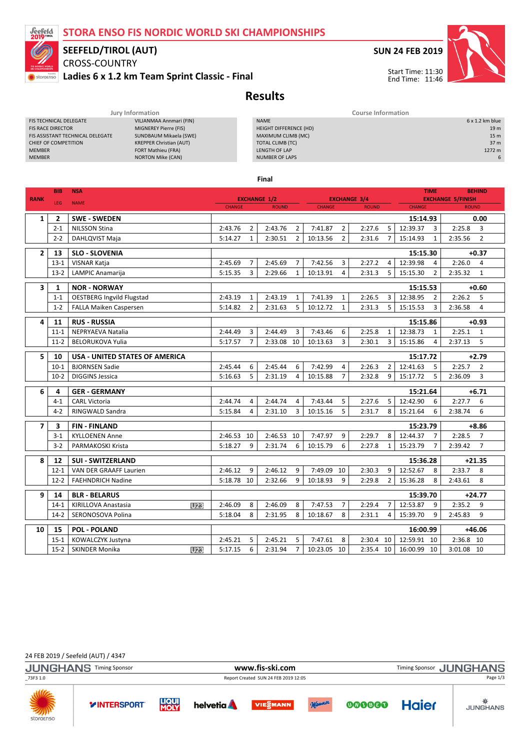### STORA ENSO FIS NORDIC WORLD SKI CHAMPIONSHIPS



# SEEFELD/TIROL (AUT)

CROSS-COUNTRY Ladies 6 x 1.2 km Team Sprint Classic - Final



Start Time: 11:30 End Time: 11:46

Results

|                                  | Jury Information               |                        | <b>Course Information</b> |
|----------------------------------|--------------------------------|------------------------|---------------------------|
| FIS TECHNICAL DELEGATE           | VILJANMAA Annmari (FIN)        | <b>NAME</b>            | $6 \times 1.2$ km blue    |
| <b>FIS RACE DIRECTOR</b>         | MIGNEREY Pierre (FIS)          | HEIGHT DIFFERENCE (HD) | 19 <sub>m</sub>           |
| FIS ASSISTANT TECHNICAL DELEGATE | SUNDBAUM Mikaela (SWE)         | MAXIMUM CLIMB (MC)     | 15 <sub>m</sub>           |
| CHIEF OF COMPETITION             | <b>KREPPER Christian (AUT)</b> | TOTAL CLIMB (TC)       | 37 <sub>m</sub>           |
| <b>MEMBER</b>                    | FORT Mathieu (FRA)             | LENGTH OF LAP          | 1272 m                    |
| <b>MEMBER</b>                    | <b>NORTON Mike (CAN)</b>       | <b>NUMBER OF LAPS</b>  | 6                         |
|                                  |                                |                        |                           |

Final

| <b>RANK</b>    | <b>BIB</b>     | <b>NSA</b>                               | <b>EXCHANGE 1/2</b>           |                |         | <b>EXCHANGE 3/4</b><br><b>CHANGE</b><br><b>ROUND</b> |          |                | <b>TIME</b>   |                | <b>BEHIND</b><br><b>EXCHANGE 5/FINISH</b> |             |                |
|----------------|----------------|------------------------------------------|-------------------------------|----------------|---------|------------------------------------------------------|----------|----------------|---------------|----------------|-------------------------------------------|-------------|----------------|
|                | LEG            | <b>NAME</b>                              | <b>CHANGE</b><br><b>ROUND</b> |                |         |                                                      |          |                | <b>CHANGE</b> | <b>ROUND</b>   |                                           |             |                |
| $\mathbf{1}$   | $\overline{2}$ | <b>SWE - SWEDEN</b>                      |                               |                |         |                                                      |          |                |               |                | 15:14.93                                  |             | 0.00           |
|                | $2 - 1$        | <b>NILSSON Stina</b>                     | 2:43.76                       | $\overline{2}$ | 2:43.76 | $\overline{2}$                                       | 7:41.87  | $\overline{2}$ | 2:27.6        | 5              | 12:39.37<br>3                             | 2:25.8      | 3              |
|                | $2 - 2$        | DAHLQVIST Maja                           | 5:14.27                       | $\mathbf{1}$   | 2:30.51 | $\overline{2}$                                       | 10:13.56 | $\overline{2}$ | 2:31.6        | $\overline{7}$ | $\mathbf{1}$<br>15:14.93                  | 2:35.56     | $\overline{2}$ |
| $\overline{2}$ | 13             | <b>SLO - SLOVENIA</b>                    |                               |                |         |                                                      |          |                |               | 15:15.30       |                                           | $+0.37$     |                |
|                | $13 - 1$       | VISNAR Katja                             | 2:45.69                       | 7              | 2:45.69 | $\overline{7}$                                       | 7:42.56  | 3              | 2:27.2        | 4              | 12:39.98<br>$\overline{4}$                | 2:26.0      | $\overline{4}$ |
|                | $13 - 2$       | LAMPIC Anamarija                         | 5:15.35                       | 3              | 2:29.66 | $\mathbf{1}$                                         | 10:13.91 | 4              | 2:31.3        | 5              | 15:15.30<br>$\overline{2}$                | 2:35.32     | $\mathbf{1}$   |
| 3              | 1              | <b>NOR - NORWAY</b>                      |                               |                |         |                                                      |          |                |               |                | 15:15.53                                  | $+0.60$     |                |
|                | $1 - 1$        | <b>OESTBERG Ingvild Flugstad</b>         | 2:43.19                       | $\mathbf{1}$   | 2:43.19 | 1                                                    | 7:41.39  | $\mathbf{1}$   | 2:26.5        | 3              | 12:38.95<br>$\overline{2}$                | 2:26.2      | 5              |
|                | $1 - 2$        | FALLA Maiken Caspersen                   | 5:14.82                       | $\overline{2}$ | 2:31.63 | 5                                                    | 10:12.72 | $\mathbf{1}$   | 2:31.3        | 5              | 3<br>15:15.53                             | 2:36.58     | 4              |
|                |                |                                          |                               |                |         |                                                      |          |                |               |                |                                           |             |                |
| 4              | 11             | <b>RUS - RUSSIA</b>                      |                               |                |         |                                                      |          |                |               |                | 15:15.86                                  |             | $+0.93$        |
|                | $11 - 1$       | <b>NEPRYAEVA Natalia</b>                 | 2:44.49                       | 3              | 2:44.49 | 3                                                    | 7:43.46  | 6              | 2:25.8        | $\mathbf{1}$   | 12:38.73<br>$\mathbf{1}$                  | 2:25.1      | 1              |
|                | $11-2$         | <b>BELORUKOVA Yulia</b>                  | 5:17.57                       | $\overline{7}$ | 2:33.08 | 10                                                   | 10:13.63 | 3              | 2:30.1        | 3              | $\overline{4}$<br>15:15.86                | 2:37.13     | 5              |
| 5              | 10             | <b>USA - UNITED STATES OF AMERICA</b>    |                               |                |         |                                                      |          | 15:17.72       |               | $+2.79$        |                                           |             |                |
|                | $10-1$         | <b>BJORNSEN Sadie</b>                    | 2:45.44                       | 6              | 2:45.44 | 6                                                    | 7:42.99  | $\overline{4}$ | 2:26.3        | $\overline{2}$ | 12:41.63<br>5                             | 2:25.7      | $\overline{2}$ |
|                | $10-2$         | <b>DIGGINS Jessica</b>                   | 5:16.63                       | 5              | 2:31.19 | 4                                                    | 10:15.88 | $\overline{7}$ | 2:32.8        | 9              | 5<br>15:17.72                             | 2:36.09     | 3              |
| 6              | 4              | <b>GER - GERMANY</b>                     |                               |                |         |                                                      |          |                |               |                | 15:21.64                                  |             | $+6.71$        |
|                | $4 - 1$        | <b>CARL Victoria</b>                     | 2:44.74                       | 4              | 2:44.74 | 4                                                    | 7:43.44  | 5              | 2:27.6        | 5              | 12:42.90<br>6                             | 2:27.7      | 6              |
|                | $4 - 2$        | <b>RINGWALD Sandra</b>                   | 5:15.84                       | $\overline{4}$ | 2:31.10 | 3                                                    | 10:15.16 | 5              | 2:31.7        | 8              | 15:21.64<br>6                             | 2:38.74     | 6              |
| $\overline{7}$ | 3              | <b>FIN-FINLAND</b>                       |                               |                |         |                                                      |          |                |               |                | 15:23.79                                  |             | $+8.86$        |
|                | $3-1$          | <b>KYLLOENEN Anne</b>                    | 2:46.53                       | 10             | 2:46.53 | 10                                                   | 7:47.97  | 9              | 2:29.7        | 8              | 12:44.37<br>$\overline{7}$                | 2:28.5      | $\overline{7}$ |
|                | $3-2$          | PARMAKOSKI Krista                        | 5:18.27                       | 9              | 2:31.74 | 6                                                    | 10:15.79 | 6              | 2:27.8        | $\mathbf{1}$   | 15:23.79<br>$\overline{7}$                | 2:39.42     | $\overline{7}$ |
|                |                |                                          |                               |                |         |                                                      |          |                |               |                |                                           |             |                |
| 8              | 12             | <b>SUI - SWITZERLAND</b>                 |                               |                |         |                                                      |          |                |               |                | 15:36.28                                  |             | $+21.35$       |
|                | $12 - 1$       | <b>VAN DER GRAAFF Laurien</b>            | 2:46.12<br>5:18.78            | 9              | 2:46.12 | 9                                                    | 7:49.09  | 10<br>9        | 2:30.3        | 9              | 12:52.67<br>8                             | 2:33.7      | 8              |
|                | $12 - 2$       | <b>FAEHNDRICH Nadine</b>                 |                               | 10             | 2:32.66 | 9                                                    | 10:18.93 |                | 2:29.8        | $\overline{2}$ | 15:36.28<br>8                             | 2:43.61     | 8              |
| 9              | 14             | <b>BLR - BELARUS</b>                     |                               |                |         |                                                      |          |                |               |                | 15:39.70                                  |             | $+24.77$       |
|                | $14-1$         | KIRILLOVA Anastasia<br>U <sub>23</sub>   | 2:46.09                       | 8              | 2:46.09 | 8                                                    | 7:47.53  | $\overline{7}$ | 2:29.4        | $\overline{7}$ | 12:53.87<br>9                             | 2:35.2      | 9              |
|                | $14-2$         | SERONOSOVA Polina                        | 5:18.04                       | 8              | 2:31.95 | 8                                                    | 10:18.67 | 8              | 2:31.1        | 4              | 15:39.70<br>9                             | 2:45.83     | 9              |
| 10             | 15             | <b>POL - POLAND</b>                      |                               |                |         |                                                      | 16:00.99 |                |               |                |                                           | $+46.06$    |                |
|                | $15 - 1$       | KOWALCZYK Justyna                        | 2:45.21                       | 5              | 2:45.21 | 5                                                    | 7:47.61  | 8              | 2:30.4 10     |                | 12:59.91 10                               | $2:36.8$ 10 |                |
|                | $15-2$         | <b>SKINDER Monika</b><br>U <sub>23</sub> | 5:17.15                       | 6              | 2:31.94 | $\overline{7}$                                       | 10:23.05 | 10             | 2:35.4 10     |                | 16:00.99 10                               | 3:01.08 10  |                |

24 FEB 2019 / Seefeld (AUT) / 4347

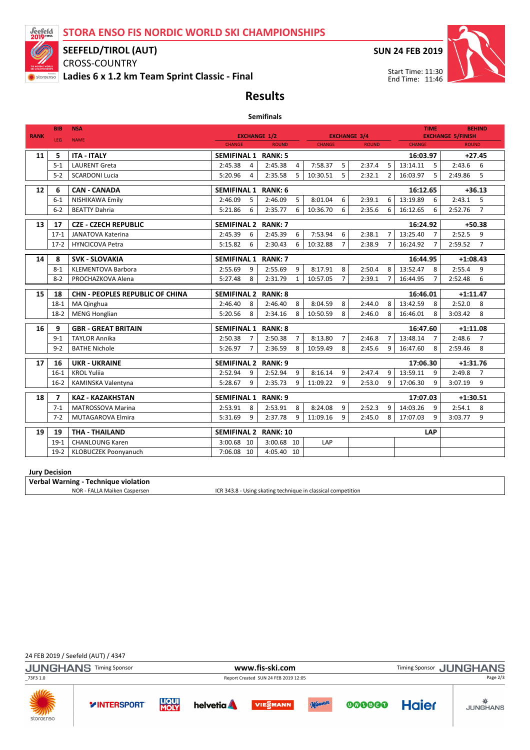STORA ENSO FIS NORDIC WORLD SKI CHAMPIONSHIPS



### SEEFELD/TIROL (AUT)

CROSS-COUNTRY Ladies 6 x 1.2 km Team Sprint Classic - Final SUN 24 FEB 2019



Start Time: 11:30 End Time: 11:46

## Results Semifinals

|                 | <b>BIB</b>     | <b>NSA</b>                                          | <b>TIME</b>                          |                               |                            |                                     |                            | <b>BEHIND</b>                            |  |
|-----------------|----------------|-----------------------------------------------------|--------------------------------------|-------------------------------|----------------------------|-------------------------------------|----------------------------|------------------------------------------|--|
| <b>RANK</b>     | LEG            | <b>NAME</b>                                         | <b>EXCHANGE 1/2</b><br><b>CHANGE</b> | <b>ROUND</b>                  | <b>CHANGE</b>              | <b>EXCHANGE 3/4</b><br><b>ROUND</b> | <b>CHANGE</b>              | <b>EXCHANGE 5/FINISH</b><br><b>ROUND</b> |  |
|                 |                |                                                     |                                      |                               |                            |                                     |                            |                                          |  |
| 11              | 5              | <b>ITA - ITALY</b>                                  | <b>SEMIFINAL 1 RANK: 5</b>           |                               |                            |                                     | 16:03.97                   | $+27.45$                                 |  |
|                 | $5-1$          | <b>LAURENT Greta</b>                                | 2:45.38<br>$\overline{4}$            | 2:45.38<br>4                  | 7:58.37<br>5               | 2:37.4<br>5                         | 13:14.11<br>5              | 2:43.6<br>6                              |  |
|                 | $5 - 2$        | <b>SCARDONI Lucia</b>                               | 5:20.96<br>4                         | 2:35.58<br>5                  | 5<br>10:30.51              | 2:32.1<br>$\overline{2}$            | 5<br>16:03.97              | 5<br>2:49.86                             |  |
| 12 <sup>2</sup> | 6              | <b>CAN - CANADA</b>                                 | <b>SEMIFINAL 1</b>                   | <b>RANK: 6</b>                |                            |                                     | 16:12.65                   | $+36.13$                                 |  |
|                 | $6 - 1$        | NISHIKAWA Emily                                     | 2:46.09<br>5                         | 2:46.09<br>5                  | 8:01.04<br>6               | 2:39.1<br>6                         | 13:19.89<br>6              | 2:43.1<br>5                              |  |
|                 | $6 - 2$        | <b>BEATTY Dahria</b>                                | 5:21.86<br>6                         | 2:35.77<br>6                  | 6<br>10:36.70              | 2:35.6<br>6                         | 16:12.65<br>6              | $\overline{7}$<br>2:52.76                |  |
| 13              | 17             | <b>CZE - CZECH REPUBLIC</b>                         | <b>SEMIFINAL 2</b>                   | RANK: 7                       |                            |                                     | 16:24.92                   | $+50.38$                                 |  |
|                 | $17-1$         | <b>JANATOVA Katerina</b>                            | 2:45.39<br>6                         | 2:45.39<br>6                  | 7:53.94<br>6               | 2:38.1                              | 13:25.40<br>$\overline{7}$ | 2:52.5<br>9                              |  |
|                 | $17-2$         | <b>HYNCICOVA Petra</b>                              | 5:15.82<br>6                         | 2:30.43<br>6                  | $\overline{7}$<br>10:32.88 | 2:38.9<br>$\overline{7}$            | $\overline{7}$<br>16:24.92 | $\overline{7}$<br>2:59.52                |  |
| 14              | 8              | <b>SVK - SLOVAKIA</b>                               | <b>RANK: 7</b><br><b>SEMIFINAL 1</b> |                               |                            | 16:44.95                            | $+1:08.43$                 |                                          |  |
|                 | $8 - 1$        | <b>KLEMENTOVA Barbora</b>                           | 2:55.69<br>9                         | 2:55.69<br>9                  | 8:17.91<br>8               | 2:50.4<br>8                         | 13:52.47<br>8              | 2:55.4<br>9                              |  |
|                 | $8 - 2$        | PROCHAZKOVA Alena                                   | 5:27.48<br>8                         | 2:31.79<br>$\mathbf{1}$       | $\overline{7}$<br>10:57.05 | 2:39.1<br>7                         | 16:44.95<br>$\overline{7}$ | 6<br>2:52.48                             |  |
|                 |                |                                                     |                                      |                               |                            |                                     |                            |                                          |  |
| 15              | 18             | <b>CHN - PEOPLES REPUBLIC OF CHINA</b>              | <b>SEMIFINAL 2</b>                   | <b>RANK: 8</b>                |                            |                                     | 16:46.01                   | $+1:11.47$                               |  |
|                 | $18-1$         | MA Qinghua                                          | 2:46.40<br>8                         | 2:46.40<br>8                  | 8<br>8:04.59               | 2:44.0<br>8                         | 13:42.59<br>8              | 8<br>2:52.0                              |  |
|                 | $18-2$         | <b>MENG Honglian</b>                                | 5:20.56<br>8                         | 2:34.16<br>8                  | 10:50.59<br>8              | 2:46.0<br>8                         | 8<br>16:46.01              | 8<br>3:03.42                             |  |
| 16              | 9              | <b>GBR - GREAT BRITAIN</b>                          | <b>SEMIFINAL 1</b>                   | <b>RANK: 8</b>                |                            |                                     | $+1:11.08$                 |                                          |  |
|                 | $9 - 1$        | <b>TAYLOR Annika</b>                                | 2:50.38<br>$\overline{7}$            | 2:50.38<br>$\overline{7}$     | 8:13.80<br>$\overline{7}$  | 2:46.8<br>$\overline{7}$            | 13:48.14<br>$\overline{7}$ | 2:48.6<br>$\overline{7}$                 |  |
|                 | $9 - 2$        | <b>BATHE Nichole</b>                                | 5:26.97<br>$\overline{7}$            | 2:36.59<br>8                  | 10:59.49<br>8              | 2:45.6<br>9                         | 16:47.60<br>8              | 8<br>2:59.46                             |  |
| 17              | 16             | <b>UKR - UKRAINE</b>                                | <b>SEMIFINAL 2</b><br>RANK: 9        |                               |                            |                                     | 17:06.30                   | $+1:31.76$                               |  |
|                 |                |                                                     |                                      |                               |                            |                                     |                            |                                          |  |
|                 | $16-1$         | <b>KROL Yulija</b>                                  | 2:52.94<br>9                         | 2:52.94<br>9                  | 8:16.14<br>9               | 2:47.4<br>$\mathbf{q}$              | 13:59.11<br>9              | 2:49.8<br>$\overline{7}$                 |  |
|                 | $16-2$         | KAMINSKA Valentyna                                  | 5:28.67<br>9                         | 2:35.73<br>9                  | 11:09.22<br>9              | 2:53.0<br>9                         | 17:06.30<br>9              | 9<br>3:07.19                             |  |
|                 | $\overline{ }$ |                                                     |                                      |                               |                            |                                     |                            |                                          |  |
| 18              | $7 - 1$        | <b>KAZ - KAZAKHSTAN</b><br><b>MATROSSOVA Marina</b> | <b>SEMIFINAL 1</b><br>8              | RANK: 9<br>8                  | 9<br>8:24.08               | 9                                   | 17:07.03<br>14:03.26<br>9  | $+1:30.51$<br>8<br>2:54.1                |  |
|                 | $7 - 2$        | MUTAGAROVA Elmira                                   | 2:53.91<br>5:31.69<br>9              | 2:53.91<br>2:37.78<br>9       | 9<br>11:09.16              | 2:52.3<br>8<br>2:45.0               | 9<br>17:07.03              | 9<br>3:03.77                             |  |
|                 |                |                                                     |                                      |                               |                            |                                     |                            |                                          |  |
| 19              | 19<br>$19-1$   | <b>THA - THAILAND</b><br><b>CHANLOUNG Karen</b>     | <b>SEMIFINAL 2</b><br>3:00.68 10     | <b>RANK: 10</b><br>3:00.68 10 | LAP                        |                                     | LAP                        |                                          |  |

#### Jury Decision

Verbal Warning - Technique violation

NOR - FALLA Maiken Caspersen **ICR 343.8 - Using skating technique in classical competition** 

#### 24 FEB 2019 / Seefeld (AUT) / 4347